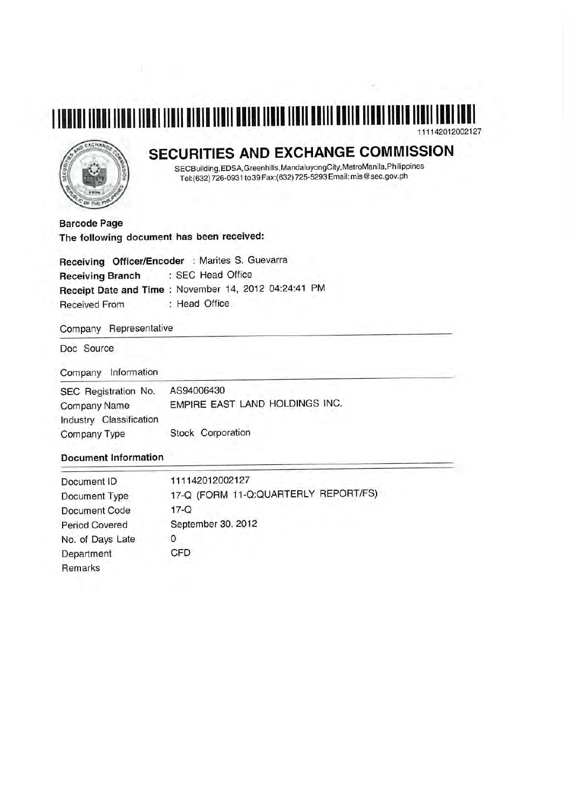#### 111142012002127



# SECURITIES AND EXCHANGE COMMISSION

SECBuilding, EDSA, Greenhills, Mandaluyong City, MetroManila, Philippines Tel:(632) 726-0931 to 39 Fax:(632) 725-5293 Email: mis@sec.gov.ph

**Barcode Page** The following document has been received:

Receiving Officer/Encoder : Marites S. Guevarra : SEC Head Office **Receiving Branch** Receipt Date and Time: November 14, 2012 04:24:41 PM **Received From** : Head Office

Company Representative

Doc Source

Company Information

| SEC Registration No.<br><b>Company Name</b> | AS94006430<br>EMPIRE EAST LAND HOLDINGS INC. |
|---------------------------------------------|----------------------------------------------|
| Industry Classification                     |                                              |
| Company Type                                | Stock Corporation                            |

#### **Document Information**

| Document ID           | 111142012002127                      |
|-----------------------|--------------------------------------|
| Document Type         | 17-Q (FORM 11-Q:QUARTERLY REPORT/FS) |
| Document Code         | $17-Q$                               |
| <b>Period Covered</b> | September 30, 2012                   |
| No. of Days Late      |                                      |
| Department            | CFD                                  |
| Remarks               |                                      |
|                       |                                      |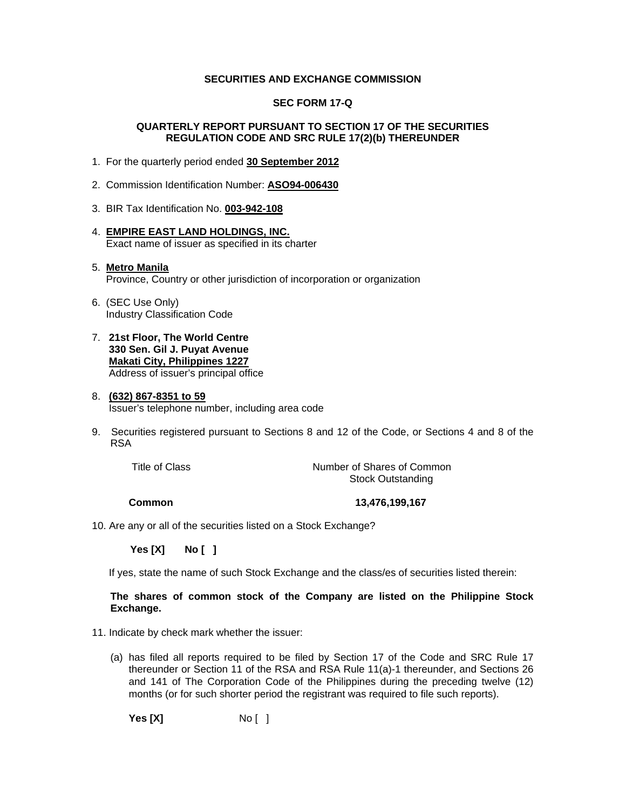#### **SECURITIES AND EXCHANGE COMMISSION**

#### **SEC FORM 17-Q**

#### **QUARTERLY REPORT PURSUANT TO SECTION 17 OF THE SECURITIES REGULATION CODE AND SRC RULE 17(2)(b) THEREUNDER**

- 1. For the quarterly period ended **30 September 2012**
- 2. Commission Identification Number: **ASO94-006430**
- 3. BIR Tax Identification No. **003-942-108**
- 4. **EMPIRE EAST LAND HOLDINGS, INC.** Exact name of issuer as specified in its charter

#### 5. **Metro Manila** Province, Country or other jurisdiction of incorporation or organization

- 6. (SEC Use Only) Industry Classification Code
- 7. **21st Floor, The World Centre 330 Sen. Gil J. Puyat Avenue Makati City, Philippines 1227** Address of issuer's principal office

#### 8. **(632) 867-8351 to 59** Issuer's telephone number, including area code

9. Securities registered pursuant to Sections 8 and 12 of the Code, or Sections 4 and 8 of the RSA

Title of Class Title of Common Number of Shares of Common Stock Outstanding

**Common 13,476,199,167** 

10. Are any or all of the securities listed on a Stock Exchange?

 **Yes [X] No [ ]**

If yes, state the name of such Stock Exchange and the class/es of securities listed therein:

#### **The shares of common stock of the Company are listed on the Philippine Stock Exchange.**

- 11. Indicate by check mark whether the issuer:
	- (a) has filed all reports required to be filed by Section 17 of the Code and SRC Rule 17 thereunder or Section 11 of the RSA and RSA Rule 11(a)-1 thereunder, and Sections 26 and 141 of The Corporation Code of the Philippines during the preceding twelve (12) months (or for such shorter period the registrant was required to file such reports).

**Yes [X]** No [ ]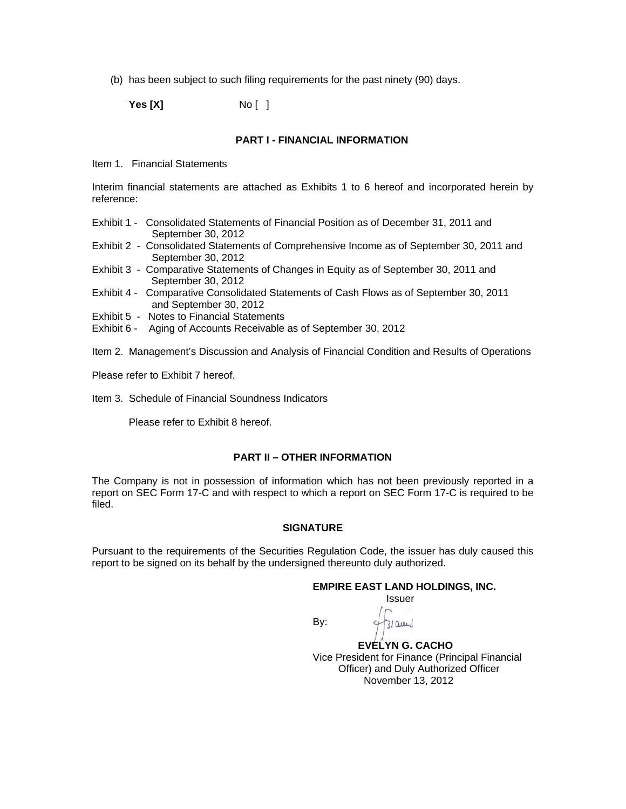(b) has been subject to such filing requirements for the past ninety (90) days.

**Yes [X]** No [ ]

#### **PART I - FINANCIAL INFORMATION**

Item 1. Financial Statements

Interim financial statements are attached as Exhibits 1 to 6 hereof and incorporated herein by reference:

- Exhibit 1 Consolidated Statements of Financial Position as of December 31, 2011 and September 30, 2012
- Exhibit 2 Consolidated Statements of Comprehensive Income as of September 30, 2011 and September 30, 2012
- Exhibit 3 Comparative Statements of Changes in Equity as of September 30, 2011 and September 30, 2012
- Exhibit 4 Comparative Consolidated Statements of Cash Flows as of September 30, 2011 and September 30, 2012
- Exhibit 5 Notes to Financial Statements
- Exhibit 6 Aging of Accounts Receivable as of September 30, 2012

Item 2. Management's Discussion and Analysis of Financial Condition and Results of Operations

Please refer to Exhibit 7 hereof.

Item 3. Schedule of Financial Soundness Indicators

Please refer to Exhibit 8 hereof.

#### **PART II – OTHER INFORMATION**

The Company is not in possession of information which has not been previously reported in a report on SEC Form 17-C and with respect to which a report on SEC Form 17-C is required to be filed.

#### **SIGNATURE**

Pursuant to the requirements of the Securities Regulation Code, the issuer has duly caused this report to be signed on its behalf by the undersigned thereunto duly authorized.

#### **EMPIRE EAST LAND HOLDINGS, INC.**

*<u>Issuer</u> Issuer Issuer* 

 $310$ uy

**By: By:** 

 **EVELYN G. CACHO**  Vice President for Finance (Principal Financial Officer) and Duly Authorized Officer November 13, 2012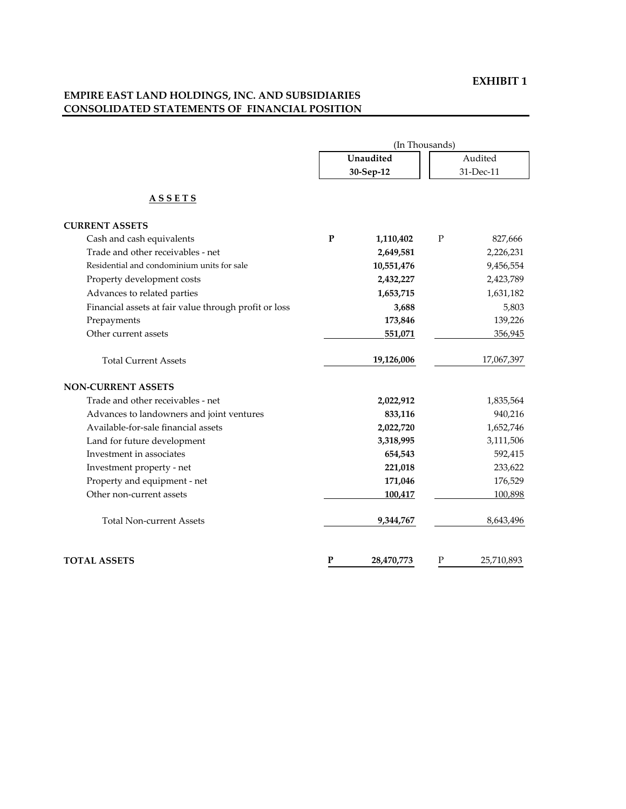### **EXHIBIT 1**

### **EMPIRE EAST LAND HOLDINGS, INC. AND SUBSIDIARIES CONSOLIDATED STATEMENTS OF FINANCIAL POSITION**

|                                                       | (In Thousands) |                        |           |            |
|-------------------------------------------------------|----------------|------------------------|-----------|------------|
|                                                       |                | Unaudited<br>30-Sep-12 |           | Audited    |
|                                                       |                |                        |           | 31-Dec-11  |
| <u>ASSETS</u>                                         |                |                        |           |            |
| <b>CURRENT ASSETS</b>                                 |                |                        |           |            |
| Cash and cash equivalents                             | $\mathbf P$    | 1,110,402              | ${\bf P}$ | 827,666    |
| Trade and other receivables - net                     |                | 2,649,581              |           | 2,226,231  |
| Residential and condominium units for sale            |                | 10,551,476             |           | 9,456,554  |
| Property development costs                            |                | 2,432,227              |           | 2,423,789  |
| Advances to related parties                           |                | 1,653,715              |           | 1,631,182  |
| Financial assets at fair value through profit or loss |                | 3,688                  |           | 5,803      |
| Prepayments                                           |                | 173,846                |           | 139,226    |
| Other current assets                                  |                | 551,071                |           | 356,945    |
| <b>Total Current Assets</b>                           |                | 19,126,006             |           | 17,067,397 |
| <b>NON-CURRENT ASSETS</b>                             |                |                        |           |            |
| Trade and other receivables - net                     |                | 2,022,912              |           | 1,835,564  |
| Advances to landowners and joint ventures             |                | 833,116                |           | 940,216    |
| Available-for-sale financial assets                   |                | 2,022,720              |           | 1,652,746  |
| Land for future development                           |                | 3,318,995              |           | 3,111,506  |
| Investment in associates                              |                | 654,543                |           | 592,415    |
| Investment property - net                             |                | 221,018                |           | 233,622    |
| Property and equipment - net                          |                | 171,046                |           | 176,529    |
| Other non-current assets                              |                | 100,417                |           | 100,898    |
| <b>Total Non-current Assets</b>                       |                | 9,344,767              |           | 8,643,496  |
| <b>TOTAL ASSETS</b>                                   | P              | 28,470,773             | Ρ         | 25,710,893 |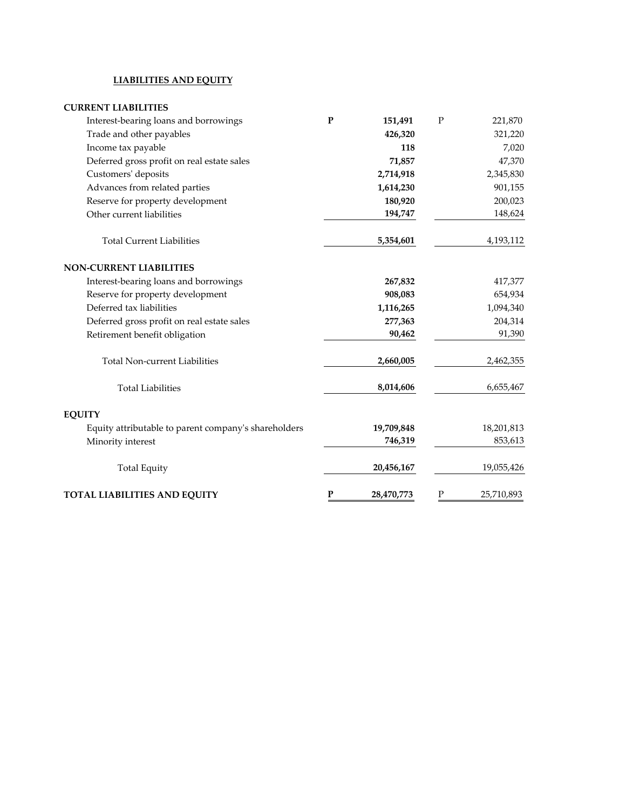### **LIABILITIES AND EQUITY**

| <b>CURRENT LIABILITIES</b>                           |              |            |   |            |
|------------------------------------------------------|--------------|------------|---|------------|
| Interest-bearing loans and borrowings                | ${\bf P}$    | 151,491    | P | 221,870    |
| Trade and other payables                             |              | 426,320    |   | 321,220    |
| Income tax payable                                   |              | 118        |   | 7,020      |
| Deferred gross profit on real estate sales           |              | 71,857     |   | 47,370     |
| Customers' deposits                                  |              | 2,714,918  |   | 2,345,830  |
| Advances from related parties                        |              | 1,614,230  |   | 901,155    |
| Reserve for property development                     |              | 180,920    |   | 200,023    |
| Other current liabilities                            |              | 194,747    |   | 148,624    |
| <b>Total Current Liabilities</b>                     |              | 5,354,601  |   | 4,193,112  |
| <b>NON-CURRENT LIABILITIES</b>                       |              |            |   |            |
| Interest-bearing loans and borrowings                |              | 267,832    |   | 417,377    |
| Reserve for property development                     |              | 908,083    |   | 654,934    |
| Deferred tax liabilities                             |              | 1,116,265  |   | 1,094,340  |
| Deferred gross profit on real estate sales           |              | 277,363    |   | 204,314    |
| Retirement benefit obligation                        |              | 90,462     |   | 91,390     |
| <b>Total Non-current Liabilities</b>                 |              | 2,660,005  |   | 2,462,355  |
| <b>Total Liabilities</b>                             |              | 8,014,606  |   | 6,655,467  |
| <b>EQUITY</b>                                        |              |            |   |            |
| Equity attributable to parent company's shareholders |              | 19,709,848 |   | 18,201,813 |
| Minority interest                                    |              | 746,319    |   | 853,613    |
| <b>Total Equity</b>                                  |              | 20,456,167 |   | 19,055,426 |
| <b>TOTAL LIABILITIES AND EQUITY</b>                  | $\mathbf{P}$ | 28,470,773 | P | 25,710,893 |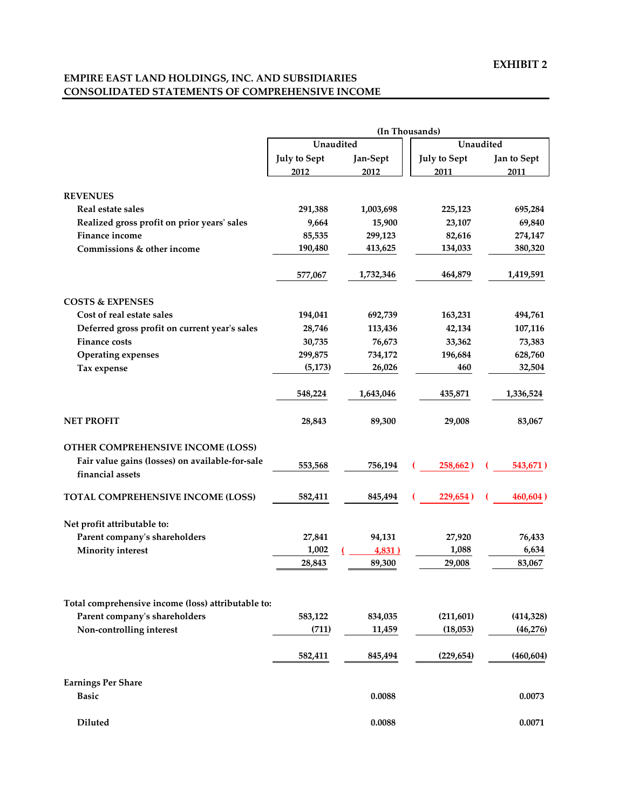### **EMPIRE EAST LAND HOLDINGS, INC. AND SUBSIDIARIES CONSOLIDATED STATEMENTS OF COMPREHENSIVE INCOME**

|                                                               |                     |                   | (In Thousands)      |             |  |  |
|---------------------------------------------------------------|---------------------|-------------------|---------------------|-------------|--|--|
|                                                               | Unaudited           |                   | Unaudited           |             |  |  |
|                                                               | <b>July to Sept</b> | Jan-Sept          | <b>July to Sept</b> | Jan to Sept |  |  |
|                                                               | 2012                | 2012              | 2011                | 2011        |  |  |
|                                                               |                     |                   |                     |             |  |  |
| <b>REVENUES</b>                                               |                     |                   |                     |             |  |  |
| Real estate sales                                             | 291,388             | 1,003,698         | 225,123             | 695,284     |  |  |
| Realized gross profit on prior years' sales<br>Finance income | 9,664               | 15,900<br>299,123 | 23,107              | 69,840      |  |  |
| Commissions & other income                                    | 85,535              |                   | 82,616              | 274,147     |  |  |
|                                                               | 190,480             | 413,625           | 134,033             | 380,320     |  |  |
|                                                               | 577,067             | 1,732,346         | 464,879             | 1,419,591   |  |  |
| <b>COSTS &amp; EXPENSES</b>                                   |                     |                   |                     |             |  |  |
| Cost of real estate sales                                     | 194,041             | 692,739           | 163,231             | 494,761     |  |  |
| Deferred gross profit on current year's sales                 | 28,746              | 113,436           | 42,134              | 107,116     |  |  |
| <b>Finance costs</b>                                          | 30,735              | 76,673            | 33,362              | 73,383      |  |  |
| <b>Operating expenses</b>                                     | 299,875             | 734,172           | 196,684             | 628,760     |  |  |
| Tax expense                                                   | (5, 173)            | 26,026            | 460                 | 32,504      |  |  |
|                                                               | 548,224             | 1,643,046         | 435,871             | 1,336,524   |  |  |
| <b>NET PROFIT</b>                                             | 28,843              | 89,300            | 29,008              | 83,067      |  |  |
| OTHER COMPREHENSIVE INCOME (LOSS)                             |                     |                   |                     |             |  |  |
| Fair value gains (losses) on available-for-sale               |                     |                   |                     |             |  |  |
| financial assets                                              | 553,568             | 756,194           | 258,662)            | 543,671)    |  |  |
| TOTAL COMPREHENSIVE INCOME (LOSS)                             | 582,411             | 845,494           | 229,654)            | 460,604)    |  |  |
| Net profit attributable to:                                   |                     |                   |                     |             |  |  |
| Parent company's shareholders                                 | 27,841              | 94,131            | 27,920              | 76,433      |  |  |
| <b>Minority</b> interest                                      | 1,002               | 4,831)            | 1,088               | 6,634       |  |  |
|                                                               | 28,843              | 89,300            | 29,008              | 83,067      |  |  |
|                                                               |                     |                   |                     |             |  |  |
| Total comprehensive income (loss) attributable to:            |                     |                   |                     |             |  |  |
| Parent company's shareholders                                 | 583,122             | 834,035           | (211, 601)          | (414, 328)  |  |  |
| Non-controlling interest                                      | (711)               | 11,459            | (18,053)            | (46,276)    |  |  |
|                                                               | 582,411             | 845,494           | (229, 654)          | (460, 604)  |  |  |
| <b>Earnings Per Share</b>                                     |                     |                   |                     |             |  |  |
| <b>Basic</b>                                                  |                     | 0.0088            |                     | 0.0073      |  |  |
| Diluted                                                       |                     | 0.0088            |                     | 0.0071      |  |  |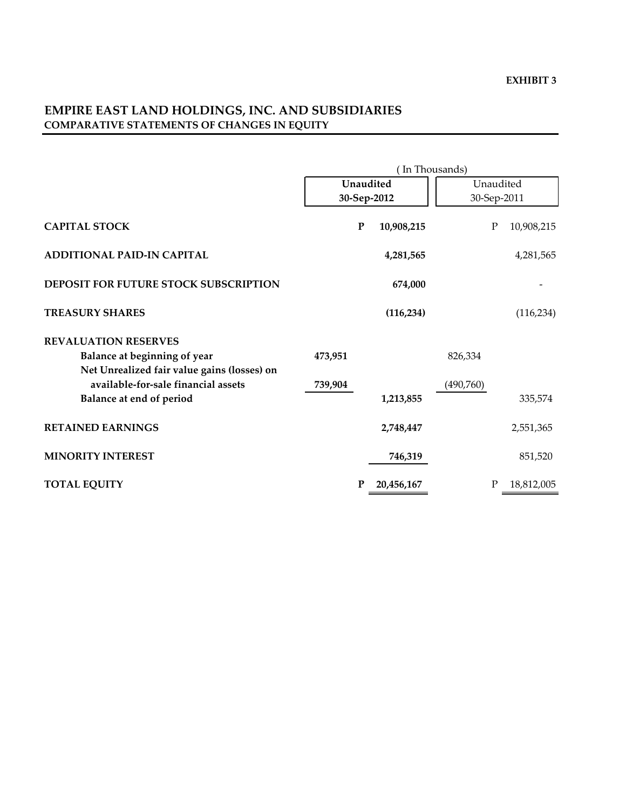### **EMPIRE EAST LAND HOLDINGS, INC. AND SUBSIDIARIES COMPARATIVE STATEMENTS OF CHANGES IN EQUITY**

|                                             | (In Thousands) |   |             |           |             |             |
|---------------------------------------------|----------------|---|-------------|-----------|-------------|-------------|
|                                             | Unaudited      |   |             | Unaudited |             |             |
|                                             |                |   | 30-Sep-2012 |           |             | 30-Sep-2011 |
| <b>CAPITAL STOCK</b>                        |                | P | 10,908,215  |           | $\mathbf P$ | 10,908,215  |
| <b>ADDITIONAL PAID-IN CAPITAL</b>           |                |   | 4,281,565   |           |             | 4,281,565   |
| DEPOSIT FOR FUTURE STOCK SUBSCRIPTION       |                |   | 674,000     |           |             |             |
| <b>TREASURY SHARES</b>                      |                |   | (116, 234)  |           |             | (116, 234)  |
| <b>REVALUATION RESERVES</b>                 |                |   |             |           |             |             |
| Balance at beginning of year                | 473,951        |   |             | 826,334   |             |             |
| Net Unrealized fair value gains (losses) on |                |   |             |           |             |             |
| available-for-sale financial assets         | 739,904        |   |             | (490,760) |             |             |
| Balance at end of period                    |                |   | 1,213,855   |           |             | 335,574     |
| <b>RETAINED EARNINGS</b>                    |                |   | 2,748,447   |           |             | 2,551,365   |
| <b>MINORITY INTEREST</b>                    |                |   | 746,319     |           |             | 851,520     |
| <b>TOTAL EQUITY</b>                         |                | P | 20,456,167  |           | P           | 18,812,005  |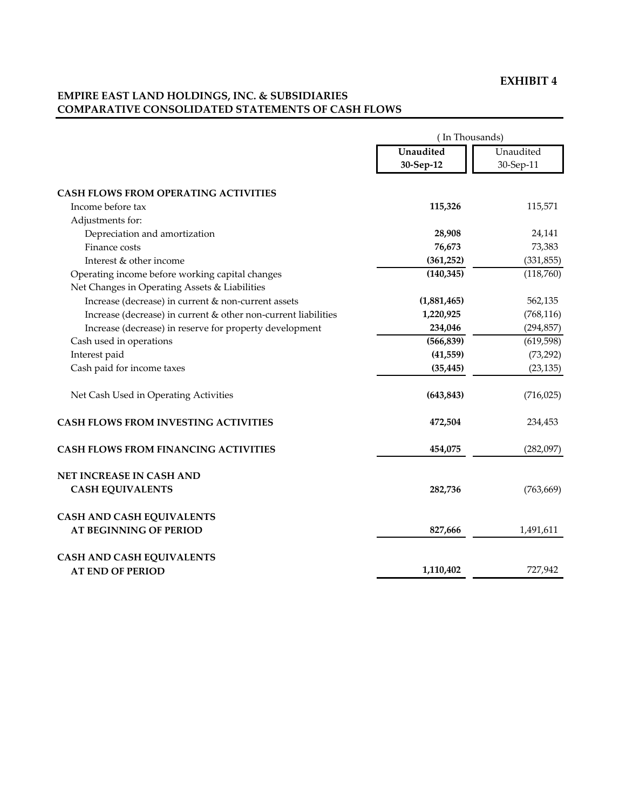### **EXHIBIT 4**

### **EMPIRE EAST LAND HOLDINGS, INC. & SUBSIDIARIES COMPARATIVE CONSOLIDATED STATEMENTS OF CASH FLOWS**

|                                                                                                  | (In Thousands) |            |  |
|--------------------------------------------------------------------------------------------------|----------------|------------|--|
|                                                                                                  | Unaudited      | Unaudited  |  |
|                                                                                                  | 30-Sep-12      | 30-Sep-11  |  |
| <b>CASH FLOWS FROM OPERATING ACTIVITIES</b>                                                      |                |            |  |
| Income before tax                                                                                | 115,326        | 115,571    |  |
| Adjustments for:                                                                                 |                |            |  |
| Depreciation and amortization                                                                    | 28,908         | 24,141     |  |
| Finance costs                                                                                    | 76,673         | 73,383     |  |
| Interest & other income                                                                          | (361, 252)     | (331, 855) |  |
| Operating income before working capital changes<br>Net Changes in Operating Assets & Liabilities | (140, 345)     | (118,760)  |  |
| Increase (decrease) in current & non-current assets                                              | (1,881,465)    | 562,135    |  |
| Increase (decrease) in current & other non-current liabilities                                   | 1,220,925      | (768, 116) |  |
| Increase (decrease) in reserve for property development                                          | 234,046        | (294, 857) |  |
| Cash used in operations                                                                          | (566, 839)     | (619, 598) |  |
| Interest paid                                                                                    | (41,559)       | (73, 292)  |  |
| Cash paid for income taxes                                                                       | (35, 445)      | (23, 135)  |  |
| Net Cash Used in Operating Activities                                                            | (643, 843)     | (716, 025) |  |
| <b>CASH FLOWS FROM INVESTING ACTIVITIES</b>                                                      | 472,504        | 234,453    |  |
| <b>CASH FLOWS FROM FINANCING ACTIVITIES</b>                                                      | 454,075        | (282,097)  |  |
| <b>NET INCREASE IN CASH AND</b>                                                                  |                |            |  |
| <b>CASH EQUIVALENTS</b>                                                                          | 282,736        | (763, 669) |  |
| <b>CASH AND CASH EQUIVALENTS</b>                                                                 |                |            |  |
| <b>AT BEGINNING OF PERIOD</b>                                                                    | 827,666        | 1,491,611  |  |
| <b>CASH AND CASH EQUIVALENTS</b>                                                                 |                |            |  |
| <b>AT END OF PERIOD</b>                                                                          | 1,110,402      | 727,942    |  |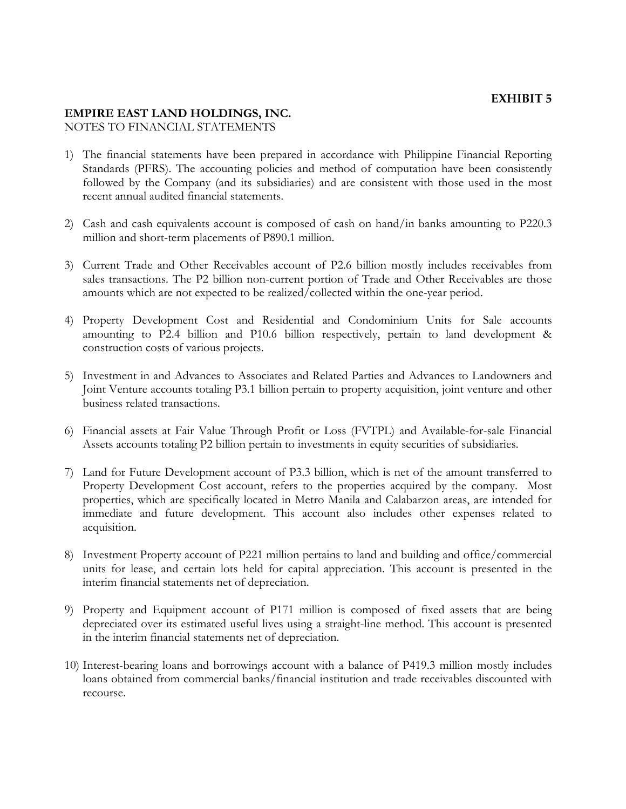### **EXHIBIT 5**

### **EMPIRE EAST LAND HOLDINGS, INC.**

NOTES TO FINANCIAL STATEMENTS

- 1) The financial statements have been prepared in accordance with Philippine Financial Reporting Standards (PFRS). The accounting policies and method of computation have been consistently followed by the Company (and its subsidiaries) and are consistent with those used in the most recent annual audited financial statements.
- 2) Cash and cash equivalents account is composed of cash on hand/in banks amounting to P220.3 million and short-term placements of P890.1 million.
- 3) Current Trade and Other Receivables account of P2.6 billion mostly includes receivables from sales transactions. The P2 billion non-current portion of Trade and Other Receivables are those amounts which are not expected to be realized/collected within the one-year period.
- 4) Property Development Cost and Residential and Condominium Units for Sale accounts amounting to P2.4 billion and P10.6 billion respectively, pertain to land development & construction costs of various projects.
- 5) Investment in and Advances to Associates and Related Parties and Advances to Landowners and Joint Venture accounts totaling P3.1 billion pertain to property acquisition, joint venture and other business related transactions.
- 6) Financial assets at Fair Value Through Profit or Loss (FVTPL) and Available-for-sale Financial Assets accounts totaling P2 billion pertain to investments in equity securities of subsidiaries.
- 7) Land for Future Development account of P3.3 billion, which is net of the amount transferred to Property Development Cost account, refers to the properties acquired by the company. Most properties, which are specifically located in Metro Manila and Calabarzon areas, are intended for immediate and future development. This account also includes other expenses related to acquisition.
- 8) Investment Property account of P221 million pertains to land and building and office/commercial units for lease, and certain lots held for capital appreciation. This account is presented in the interim financial statements net of depreciation.
- 9) Property and Equipment account of P171 million is composed of fixed assets that are being depreciated over its estimated useful lives using a straight-line method. This account is presented in the interim financial statements net of depreciation.
- 10) Interest-bearing loans and borrowings account with a balance of P419.3 million mostly includes loans obtained from commercial banks/financial institution and trade receivables discounted with recourse.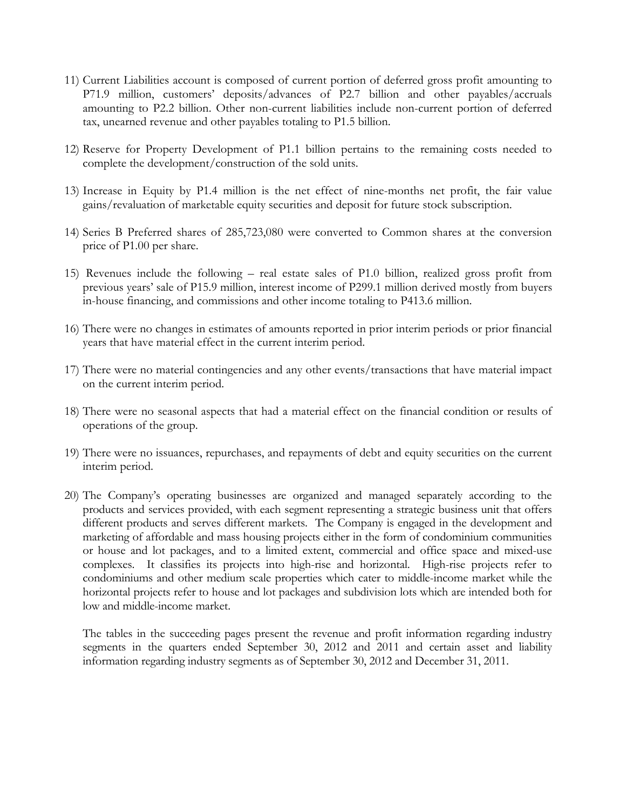- 11) Current Liabilities account is composed of current portion of deferred gross profit amounting to P71.9 million, customers' deposits/advances of P2.7 billion and other payables/accruals amounting to P2.2 billion. Other non-current liabilities include non-current portion of deferred tax, unearned revenue and other payables totaling to P1.5 billion.
- 12) Reserve for Property Development of P1.1 billion pertains to the remaining costs needed to complete the development/construction of the sold units.
- 13) Increase in Equity by P1.4 million is the net effect of nine-months net profit, the fair value gains/revaluation of marketable equity securities and deposit for future stock subscription.
- 14) Series B Preferred shares of 285,723,080 were converted to Common shares at the conversion price of P1.00 per share.
- 15) Revenues include the following real estate sales of P1.0 billion, realized gross profit from previous years' sale of P15.9 million, interest income of P299.1 million derived mostly from buyers in-house financing, and commissions and other income totaling to P413.6 million.
- 16) There were no changes in estimates of amounts reported in prior interim periods or prior financial years that have material effect in the current interim period.
- 17) There were no material contingencies and any other events/transactions that have material impact on the current interim period.
- 18) There were no seasonal aspects that had a material effect on the financial condition or results of operations of the group.
- 19) There were no issuances, repurchases, and repayments of debt and equity securities on the current interim period.
- 20) The Company's operating businesses are organized and managed separately according to the products and services provided, with each segment representing a strategic business unit that offers different products and serves different markets. The Company is engaged in the development and marketing of affordable and mass housing projects either in the form of condominium communities or house and lot packages, and to a limited extent, commercial and office space and mixed-use complexes. It classifies its projects into high-rise and horizontal. High-rise projects refer to condominiums and other medium scale properties which cater to middle-income market while the horizontal projects refer to house and lot packages and subdivision lots which are intended both for low and middle-income market.

The tables in the succeeding pages present the revenue and profit information regarding industry segments in the quarters ended September 30, 2012 and 2011 and certain asset and liability information regarding industry segments as of September 30, 2012 and December 31, 2011.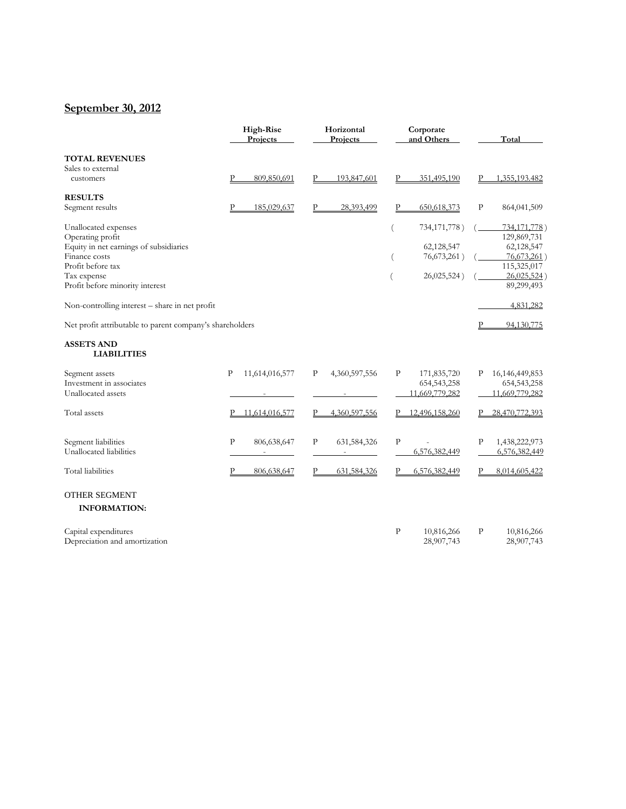## **September 30, 2012**

|                                                          | <b>High-Rise</b><br>Projects |              | Horizontal<br>Projects |              | Corporate<br>and Others  |              | Total                      |
|----------------------------------------------------------|------------------------------|--------------|------------------------|--------------|--------------------------|--------------|----------------------------|
| <b>TOTAL REVENUES</b>                                    |                              |              |                        |              |                          |              |                            |
| Sales to external<br>customers                           | $\mathbf{P}$<br>809,850,691  | Р            | 193,847,601            | Р            | 351,495,190              | Р            | 1,355,193.482              |
| <b>RESULTS</b>                                           |                              |              |                        |              |                          |              |                            |
| Segment results                                          | P<br>185,029,637             | P            | 28,393,499             | $\mathbf{P}$ | 650,618,373              | P            | 864,041,509                |
| Unallocated expenses                                     |                              |              |                        |              | 734,171,778)             |              | 734,171,778)               |
| Operating profit                                         |                              |              |                        |              |                          |              | 129,869,731                |
| Equity in net earnings of subsidiaries<br>Finance costs  |                              |              |                        |              | 62,128,547               |              | 62,128,547                 |
| Profit before tax                                        |                              |              |                        |              | 76,673,261)              |              | 76,673,261)<br>115,325,017 |
| Tax expense                                              |                              |              |                        |              | 26,025,524)              |              | 26,025,524)                |
| Profit before minority interest                          |                              |              |                        |              |                          |              | 89,299,493                 |
| Non-controlling interest - share in net profit           |                              |              |                        |              |                          |              | 4,831,282                  |
| Net profit attributable to parent company's shareholders |                              |              |                        |              |                          | Ρ            | 94,130,775                 |
| <b>ASSETS AND</b><br><b>LIABILITIES</b>                  |                              |              |                        |              |                          |              |                            |
| Segment assets                                           | 11,614,016,577<br>P          | $\mathbf{P}$ | 4,360,597,556          | $\, {\bf p}$ | 171,835,720              | P            | 16, 146, 449, 853          |
| Investment in associates                                 |                              |              |                        |              | 654, 543, 258            |              | 654, 543, 258              |
| Unallocated assets                                       |                              |              |                        |              | 11,669,779,282           |              | 11,669,779,282             |
| Total assets                                             | 11,614,016,577               | P            | 4,360,597,556          |              | 12,496,158,260           |              | 28,470,772,393             |
| Segment liabilities                                      | ${\bf P}$<br>806,638,647     | $\mathbf P$  | 631,584,326            | $\, {\bf P}$ |                          | $\mathbf{P}$ | 1,438,222,973              |
| Unallocated liabilities                                  |                              |              |                        |              | 6,576,382,449            |              | 6,576,382,449              |
| <b>Total</b> liabilities                                 | P<br>806,638,647             | Ρ            | 631,584,326            | Р            | 6,576,382,449            | P            | 8,014,605,422              |
| <b>OTHER SEGMENT</b>                                     |                              |              |                        |              |                          |              |                            |
| <b>INFORMATION:</b>                                      |                              |              |                        |              |                          |              |                            |
| Capital expenditures<br>Depreciation and amortization    |                              |              |                        | P            | 10,816,266<br>28,907,743 | P            | 10,816,266<br>28,907,743   |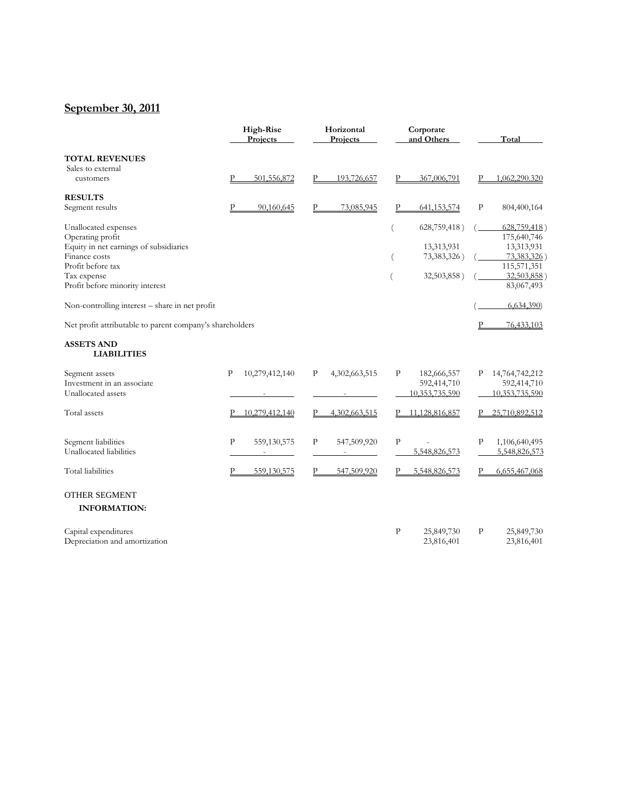## **September 30, 2011**

|                                                          | <b>High-Rise</b><br>Projects | Horizontal<br>Projects | Corporate<br>and Others       | Total                         |
|----------------------------------------------------------|------------------------------|------------------------|-------------------------------|-------------------------------|
| <b>TOTAL REVENUES</b>                                    |                              |                        |                               |                               |
| Sales to external                                        |                              |                        |                               |                               |
| customers                                                | 501,556,872<br>P             | 193,726,657<br>P       | 367,006,791<br>P              | P<br>1,062,290.320            |
| <b>RESULTS</b>                                           |                              |                        |                               |                               |
| Segment results                                          | Р<br>90,160,645              | P<br>73,085,945        | $\mathbf{P}$<br>641, 153, 574 | $\, {\bf P}$<br>804,400,164   |
| Unallocated expenses                                     |                              |                        | 628,759,418)                  | $628,759,418$ )               |
| Operating profit                                         |                              |                        |                               | 175,640,746                   |
| Equity in net earnings of subsidiaries                   |                              |                        | 13,313,931                    | 13,313,931                    |
| Finance costs                                            |                              |                        | 73,383,326)                   | 73,383,326)                   |
| Profit before tax                                        |                              |                        |                               | 115,571,351                   |
| Tax expense                                              |                              |                        | 32,503,858)                   | 32,503,858)                   |
| Profit before minority interest                          |                              |                        |                               | 83,067,493                    |
| Non-controlling interest - share in net profit           |                              |                        |                               | 6,634,390                     |
| Net profit attributable to parent company's shareholders |                              |                        |                               | 76,433,103<br>P               |
| <b>ASSETS AND</b><br><b>LIABILITIES</b>                  |                              |                        |                               |                               |
| Segment assets                                           | 10,279,412,140<br>Ρ          | 4,302,663,515<br>P     | Ρ<br>182,666,557              | 14,764,742,212<br>P           |
| Investment in an associate                               |                              |                        | 592,414,710                   | 592,414,710                   |
| Unallocated assets                                       |                              |                        | 10,353,735,590                | 10,353,735,590                |
| Total assets                                             | 10,279,412,140               | 4,302,663,515          | 11,128,816,857                | 25,710,892,512                |
|                                                          |                              |                        |                               |                               |
| Segment liabilities                                      | P<br>559,130,575             | 547,509,920<br>Ρ       | $\mathbf{P}$                  | $\mathbf{P}$<br>1,106,640,495 |
| Unallocated liabilities                                  |                              |                        | 5,548,826,573                 | 5,548,826,573                 |
| <b>Total</b> liabilities                                 | 559,130,575<br>Р             | 547,509,920<br>P       | 5,548,826,573                 | 6,655,467,068<br>P            |
| <b>OTHER SEGMENT</b>                                     |                              |                        |                               |                               |
| <b>INFORMATION:</b>                                      |                              |                        |                               |                               |
| Capital expenditures                                     |                              |                        | $\mathbf{P}$<br>25,849,730    | $\mathbf{P}$<br>25,849,730    |
| Depreciation and amortization                            |                              |                        | 23,816,401                    | 23,816,401                    |
|                                                          |                              |                        |                               |                               |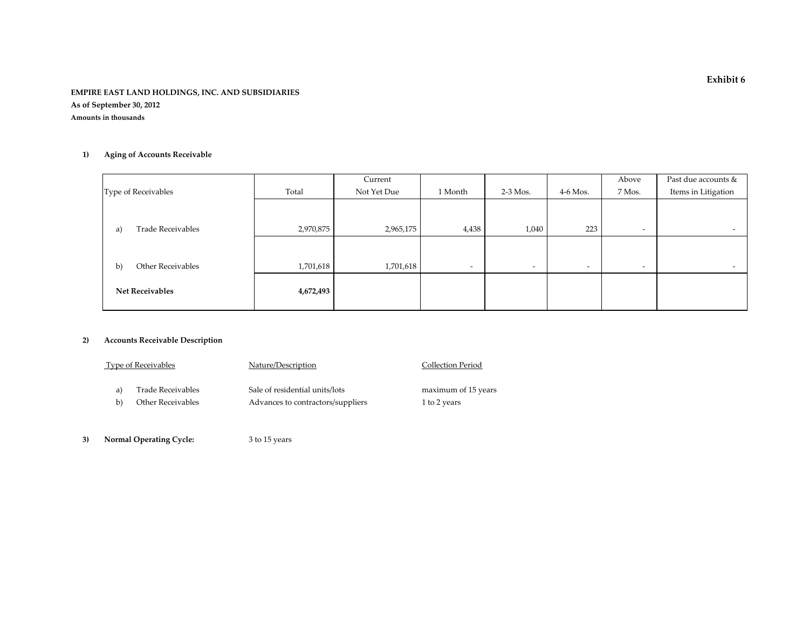#### **EMPIRE EAST LAND HOLDINGS, INC. AND SUBSIDIARIES As of September 30, 2012**

**Amounts in thousands**

#### **1) Aging of Accounts Receivable**

|                                |           | Current     |                          |                          |                          | Above                    | Past due accounts &      |
|--------------------------------|-----------|-------------|--------------------------|--------------------------|--------------------------|--------------------------|--------------------------|
| Type of Receivables            | Total     | Not Yet Due | 1 Month                  | $2-3$ Mos.               | $4-6$ Mos.               | 7 Mos.                   | Items in Litigation      |
|                                |           |             |                          |                          |                          |                          |                          |
|                                |           |             |                          |                          |                          |                          |                          |
| <b>Trade Receivables</b><br>a) | 2,970,875 | 2,965,175   | 4,438                    | 1,040                    | 223                      | $\overline{\phantom{0}}$ | $\overline{\phantom{a}}$ |
|                                |           |             |                          |                          |                          |                          |                          |
|                                |           |             |                          |                          |                          |                          |                          |
| Other Receivables<br>b)        | 1,701,618 | 1,701,618   | $\overline{\phantom{0}}$ | $\overline{\phantom{a}}$ | $\overline{\phantom{0}}$ | $\overline{\phantom{0}}$ | $\overline{\phantom{a}}$ |
|                                |           |             |                          |                          |                          |                          |                          |
| <b>Net Receivables</b>         | 4,672,493 |             |                          |                          |                          |                          |                          |
|                                |           |             |                          |                          |                          |                          |                          |

#### **2) Accounts Receivable Description**

| Type of Receivables<br>Nature/Description |                   | Collection Period                 |                     |
|-------------------------------------------|-------------------|-----------------------------------|---------------------|
|                                           | Trade Receivables | Sale of residential units/lots    | maximum of 15 years |
| b)                                        | Other Receivables | Advances to contractors/suppliers | 1 to 2 years        |

**3) Normal Operating Cycle:** <sup>3</sup> to 15 years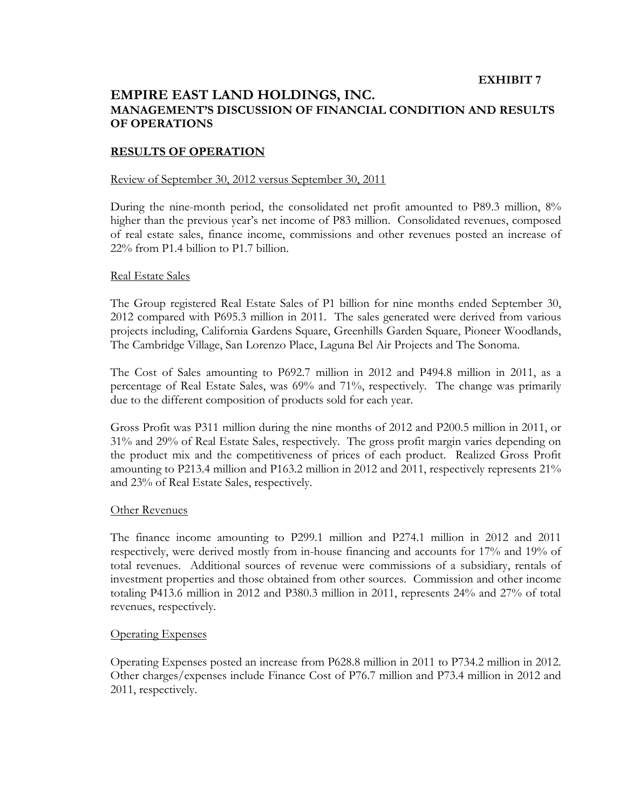#### **EXHIBIT 7**

### **EMPIRE EAST LAND HOLDINGS, INC. MANAGEMENT'S DISCUSSION OF FINANCIAL CONDITION AND RESULTS OF OPERATIONS**

#### **RESULTS OF OPERATION**

#### Review of September 30, 2012 versus September 30, 2011

During the nine-month period, the consolidated net profit amounted to P89.3 million, 8% higher than the previous year's net income of P83 million. Consolidated revenues, composed of real estate sales, finance income, commissions and other revenues posted an increase of 22% from P1.4 billion to P1.7 billion.

#### Real Estate Sales

The Group registered Real Estate Sales of P1 billion for nine months ended September 30, 2012 compared with P695.3 million in 2011. The sales generated were derived from various projects including, California Gardens Square, Greenhills Garden Square, Pioneer Woodlands, The Cambridge Village, San Lorenzo Place, Laguna Bel Air Projects and The Sonoma.

The Cost of Sales amounting to P692.7 million in 2012 and P494.8 million in 2011, as a percentage of Real Estate Sales, was 69% and 71%, respectively. The change was primarily due to the different composition of products sold for each year.

Gross Profit was P311 million during the nine months of 2012 and P200.5 million in 2011, or 31% and 29% of Real Estate Sales, respectively. The gross profit margin varies depending on the product mix and the competitiveness of prices of each product. Realized Gross Profit amounting to P213.4 million and P163.2 million in 2012 and 2011, respectively represents 21% and 23% of Real Estate Sales, respectively.

#### Other Revenues

The finance income amounting to P299.1 million and P274.1 million in 2012 and 2011 respectively, were derived mostly from in-house financing and accounts for 17% and 19% of total revenues. Additional sources of revenue were commissions of a subsidiary, rentals of investment properties and those obtained from other sources. Commission and other income totaling P413.6 million in 2012 and P380.3 million in 2011, represents 24% and 27% of total revenues, respectively.

#### Operating Expenses

Operating Expenses posted an increase from P628.8 million in 2011 to P734.2 million in 2012. Other charges/expenses include Finance Cost of P76.7 million and P73.4 million in 2012 and 2011, respectively.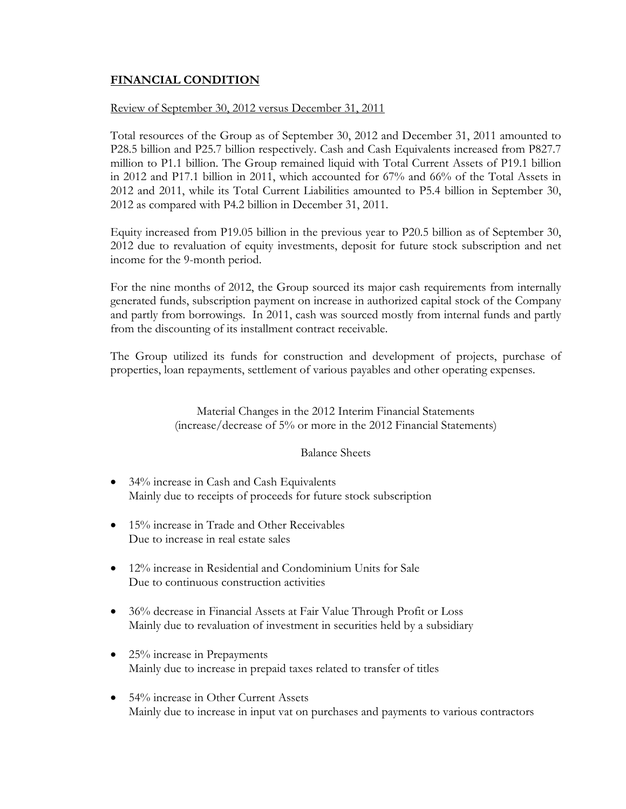### **FINANCIAL CONDITION**

### Review of September 30, 2012 versus December 31, 2011

Total resources of the Group as of September 30, 2012 and December 31, 2011 amounted to P28.5 billion and P25.7 billion respectively. Cash and Cash Equivalents increased from P827.7 million to P1.1 billion. The Group remained liquid with Total Current Assets of P19.1 billion in 2012 and P17.1 billion in 2011, which accounted for 67% and 66% of the Total Assets in 2012 and 2011, while its Total Current Liabilities amounted to P5.4 billion in September 30, 2012 as compared with P4.2 billion in December 31, 2011.

Equity increased from P19.05 billion in the previous year to P20.5 billion as of September 30, 2012 due to revaluation of equity investments, deposit for future stock subscription and net income for the 9-month period.

For the nine months of 2012, the Group sourced its major cash requirements from internally generated funds, subscription payment on increase in authorized capital stock of the Company and partly from borrowings. In 2011, cash was sourced mostly from internal funds and partly from the discounting of its installment contract receivable.

The Group utilized its funds for construction and development of projects, purchase of properties, loan repayments, settlement of various payables and other operating expenses.

> Material Changes in the 2012 Interim Financial Statements (increase/decrease of 5% or more in the 2012 Financial Statements)

### Balance Sheets

- 34% increase in Cash and Cash Equivalents Mainly due to receipts of proceeds for future stock subscription
- 15% increase in Trade and Other Receivables Due to increase in real estate sales
- 12% increase in Residential and Condominium Units for Sale Due to continuous construction activities
- 36% decrease in Financial Assets at Fair Value Through Profit or Loss Mainly due to revaluation of investment in securities held by a subsidiary
- 25% increase in Prepayments Mainly due to increase in prepaid taxes related to transfer of titles
- 54% increase in Other Current Assets Mainly due to increase in input vat on purchases and payments to various contractors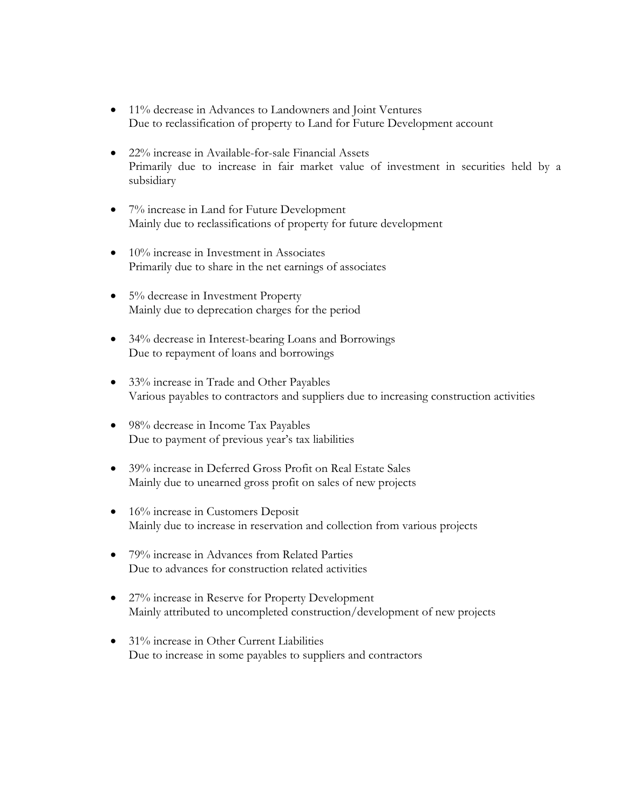- 11% decrease in Advances to Landowners and Joint Ventures Due to reclassification of property to Land for Future Development account
- 22% increase in Available-for-sale Financial Assets Primarily due to increase in fair market value of investment in securities held by a subsidiary
- 7% increase in Land for Future Development Mainly due to reclassifications of property for future development
- 10% increase in Investment in Associates Primarily due to share in the net earnings of associates
- 5% decrease in Investment Property Mainly due to deprecation charges for the period
- 34% decrease in Interest-bearing Loans and Borrowings Due to repayment of loans and borrowings
- 33% increase in Trade and Other Payables Various payables to contractors and suppliers due to increasing construction activities
- 98% decrease in Income Tax Payables Due to payment of previous year's tax liabilities
- 39% increase in Deferred Gross Profit on Real Estate Sales Mainly due to unearned gross profit on sales of new projects
- 16% increase in Customers Deposit Mainly due to increase in reservation and collection from various projects
- 79% increase in Advances from Related Parties Due to advances for construction related activities
- 27% increase in Reserve for Property Development Mainly attributed to uncompleted construction/development of new projects
- 31% increase in Other Current Liabilities Due to increase in some payables to suppliers and contractors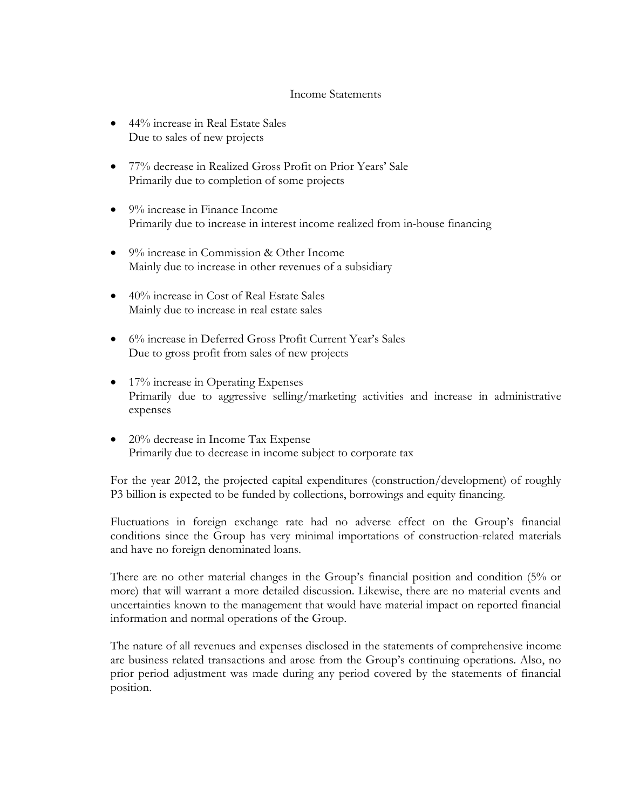#### Income Statements

- 44% increase in Real Estate Sales Due to sales of new projects
- 77% decrease in Realized Gross Profit on Prior Years' Sale Primarily due to completion of some projects
- 9% increase in Finance Income Primarily due to increase in interest income realized from in-house financing
- 9% increase in Commission & Other Income Mainly due to increase in other revenues of a subsidiary
- 40% increase in Cost of Real Estate Sales Mainly due to increase in real estate sales
- 6% increase in Deferred Gross Profit Current Year's Sales Due to gross profit from sales of new projects
- 17% increase in Operating Expenses Primarily due to aggressive selling/marketing activities and increase in administrative expenses
- 20% decrease in Income Tax Expense Primarily due to decrease in income subject to corporate tax

For the year 2012, the projected capital expenditures (construction/development) of roughly P3 billion is expected to be funded by collections, borrowings and equity financing.

Fluctuations in foreign exchange rate had no adverse effect on the Group's financial conditions since the Group has very minimal importations of construction-related materials and have no foreign denominated loans.

There are no other material changes in the Group's financial position and condition (5% or more) that will warrant a more detailed discussion. Likewise, there are no material events and uncertainties known to the management that would have material impact on reported financial information and normal operations of the Group.

The nature of all revenues and expenses disclosed in the statements of comprehensive income are business related transactions and arose from the Group's continuing operations. Also, no prior period adjustment was made during any period covered by the statements of financial position.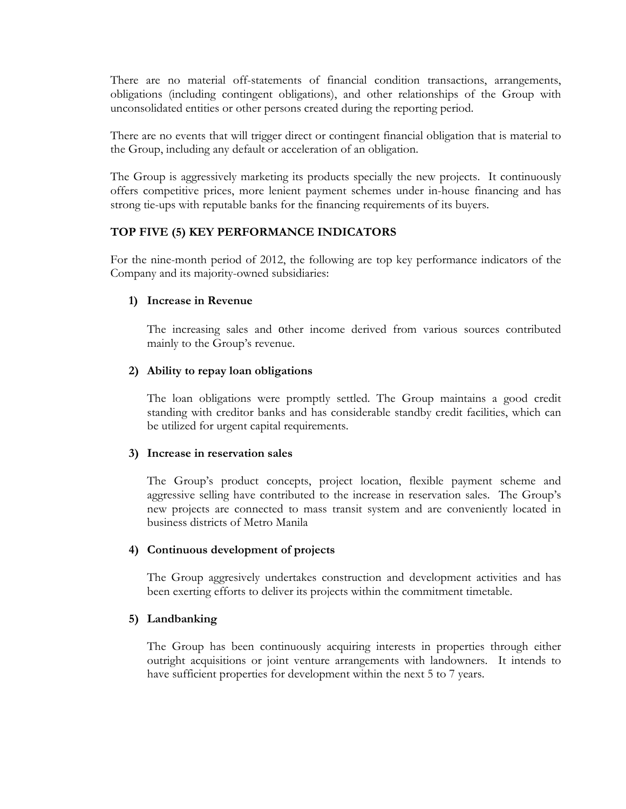There are no material off-statements of financial condition transactions, arrangements, obligations (including contingent obligations), and other relationships of the Group with unconsolidated entities or other persons created during the reporting period.

There are no events that will trigger direct or contingent financial obligation that is material to the Group, including any default or acceleration of an obligation.

The Group is aggressively marketing its products specially the new projects. It continuously offers competitive prices, more lenient payment schemes under in-house financing and has strong tie-ups with reputable banks for the financing requirements of its buyers.

### **TOP FIVE (5) KEY PERFORMANCE INDICATORS**

For the nine-month period of 2012, the following are top key performance indicators of the Company and its majority-owned subsidiaries:

#### **1) Increase in Revenue**

The increasing sales and other income derived from various sources contributed mainly to the Group's revenue.

#### **2) Ability to repay loan obligations**

The loan obligations were promptly settled. The Group maintains a good credit standing with creditor banks and has considerable standby credit facilities, which can be utilized for urgent capital requirements.

#### **3) Increase in reservation sales**

The Group's product concepts, project location, flexible payment scheme and aggressive selling have contributed to the increase in reservation sales. The Group's new projects are connected to mass transit system and are conveniently located in business districts of Metro Manila

### **4) Continuous development of projects**

The Group aggresively undertakes construction and development activities and has been exerting efforts to deliver its projects within the commitment timetable.

#### **5) Landbanking**

The Group has been continuously acquiring interests in properties through either outright acquisitions or joint venture arrangements with landowners. It intends to have sufficient properties for development within the next 5 to 7 years.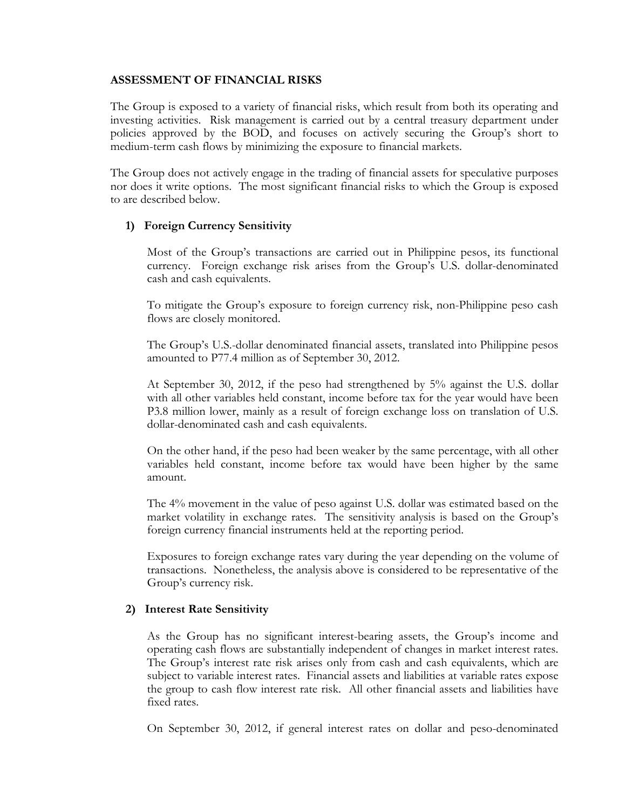#### **ASSESSMENT OF FINANCIAL RISKS**

The Group is exposed to a variety of financial risks, which result from both its operating and investing activities. Risk management is carried out by a central treasury department under policies approved by the BOD, and focuses on actively securing the Group's short to medium-term cash flows by minimizing the exposure to financial markets.

The Group does not actively engage in the trading of financial assets for speculative purposes nor does it write options. The most significant financial risks to which the Group is exposed to are described below.

#### **1) Foreign Currency Sensitivity**

Most of the Group's transactions are carried out in Philippine pesos, its functional currency. Foreign exchange risk arises from the Group's U.S. dollar-denominated cash and cash equivalents.

To mitigate the Group's exposure to foreign currency risk, non-Philippine peso cash flows are closely monitored.

The Group's U.S.-dollar denominated financial assets, translated into Philippine pesos amounted to P77.4 million as of September 30, 2012.

At September 30, 2012, if the peso had strengthened by 5% against the U.S. dollar with all other variables held constant, income before tax for the year would have been P3.8 million lower, mainly as a result of foreign exchange loss on translation of U.S. dollar-denominated cash and cash equivalents.

On the other hand, if the peso had been weaker by the same percentage, with all other variables held constant, income before tax would have been higher by the same amount.

The 4% movement in the value of peso against U.S. dollar was estimated based on the market volatility in exchange rates. The sensitivity analysis is based on the Group's foreign currency financial instruments held at the reporting period.

Exposures to foreign exchange rates vary during the year depending on the volume of transactions. Nonetheless, the analysis above is considered to be representative of the Group's currency risk.

#### **2) Interest Rate Sensitivity**

As the Group has no significant interest-bearing assets, the Group's income and operating cash flows are substantially independent of changes in market interest rates. The Group's interest rate risk arises only from cash and cash equivalents, which are subject to variable interest rates. Financial assets and liabilities at variable rates expose the group to cash flow interest rate risk. All other financial assets and liabilities have fixed rates.

On September 30, 2012, if general interest rates on dollar and peso-denominated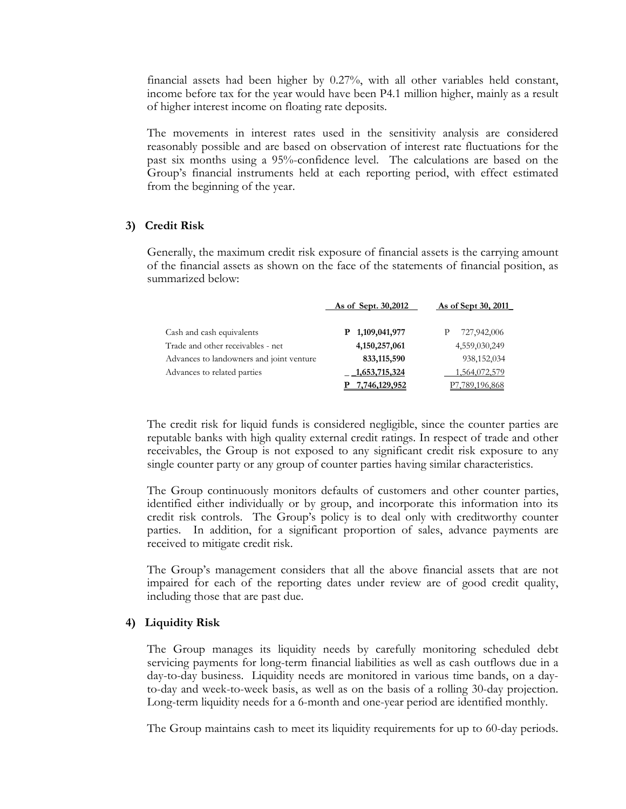financial assets had been higher by 0.27%, with all other variables held constant, income before tax for the year would have been P4.1 million higher, mainly as a result of higher interest income on floating rate deposits.

The movements in interest rates used in the sensitivity analysis are considered reasonably possible and are based on observation of interest rate fluctuations for the past six months using a 95%-confidence level. The calculations are based on the Group's financial instruments held at each reporting period, with effect estimated from the beginning of the year.

#### **3) Credit Risk**

Generally, the maximum credit risk exposure of financial assets is the carrying amount of the financial assets as shown on the face of the statements of financial position, as summarized below:

|                                          | As of Sept. 30,2012 | <u>As of Sept 30, 2011</u> |
|------------------------------------------|---------------------|----------------------------|
| Cash and cash equivalents                | P 1,109,041,977     | 727,942,006                |
| Trade and other receivables - net        | 4, 150, 257, 061    | 4,559,030,249              |
| Advances to landowners and joint venture | 833,115,590         | 938,152,034                |
| Advances to related parties              | 1,653,715,324       | 1,564,072,579              |
|                                          | 7,746,129,952       | 789.196.868.               |

The credit risk for liquid funds is considered negligible, since the counter parties are reputable banks with high quality external credit ratings. In respect of trade and other receivables, the Group is not exposed to any significant credit risk exposure to any single counter party or any group of counter parties having similar characteristics.

The Group continuously monitors defaults of customers and other counter parties, identified either individually or by group, and incorporate this information into its credit risk controls. The Group's policy is to deal only with creditworthy counter parties. In addition, for a significant proportion of sales, advance payments are received to mitigate credit risk.

The Group's management considers that all the above financial assets that are not impaired for each of the reporting dates under review are of good credit quality, including those that are past due.

#### **4) Liquidity Risk**

The Group manages its liquidity needs by carefully monitoring scheduled debt servicing payments for long-term financial liabilities as well as cash outflows due in a day-to-day business. Liquidity needs are monitored in various time bands, on a dayto-day and week-to-week basis, as well as on the basis of a rolling 30-day projection. Long-term liquidity needs for a 6-month and one-year period are identified monthly.

The Group maintains cash to meet its liquidity requirements for up to 60-day periods.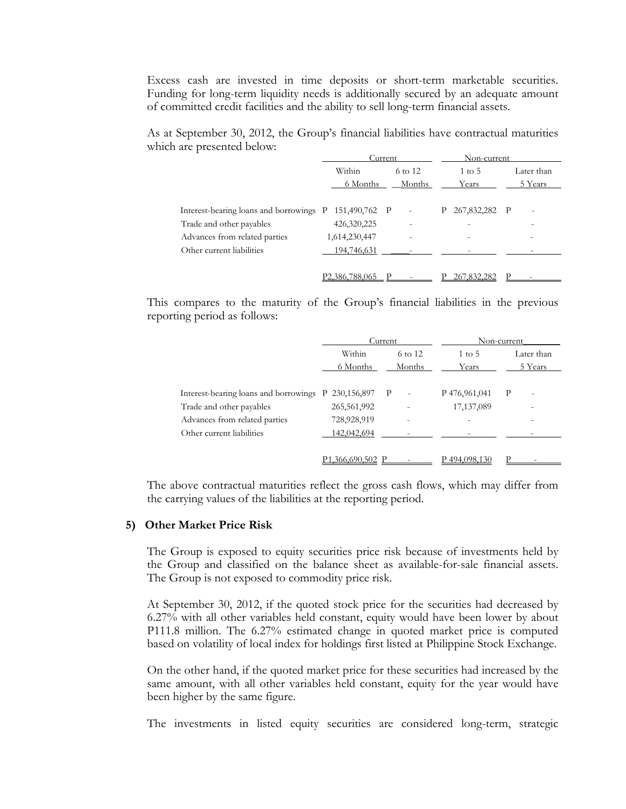Excess cash are invested in time deposits or short-term marketable securities. Funding for long-term liquidity needs is additionally secured by an adequate amount of committed credit facilities and the ability to sell long-term financial assets.

As at September 30, 2012, the Group's financial liabilities have contractual maturities which are presented below:

|                                                       | C <u>urrent</u> |                          | Non-current       |              |
|-------------------------------------------------------|-----------------|--------------------------|-------------------|--------------|
|                                                       | Within          | 6 to 12                  | $1 \text{ to } 5$ | Later than   |
|                                                       | 6 Months        | Months                   | Years             | 5 Years      |
|                                                       |                 |                          |                   |              |
| Interest-bearing loans and borrowings P 151,490,762 P |                 | $\overline{\phantom{a}}$ | 267,832,282<br>P. | $\mathbf{P}$ |
| Trade and other payables                              | 426,320,225     |                          |                   |              |
| Advances from related parties                         | 1,614,230,447   |                          |                   |              |
| Other current liabilities                             | 194,746,631     |                          |                   |              |
|                                                       |                 |                          |                   |              |
|                                                       | P2,386,788,065  |                          | 267,832,282       |              |

This compares to the maturity of the Group's financial liabilities in the previous reporting period as follows:

|                                       | Current          |                          | Non-current       |                               |
|---------------------------------------|------------------|--------------------------|-------------------|-------------------------------|
|                                       | Within           | 6 to 12                  | $1 \text{ to } 5$ | Later than                    |
|                                       | 6 Months         | Months                   | Years             | 5 Years                       |
|                                       |                  |                          |                   |                               |
| Interest-bearing loans and borrowings | P 230,156,897 P  | $\overline{\phantom{a}}$ | P 476,961,041     | P<br>$\overline{\phantom{a}}$ |
| Trade and other payables              | 265,561,992      |                          | 17,137,089        |                               |
| Advances from related parties         | 728,928,919      |                          |                   |                               |
| Other current liabilities             | 142,042,694      |                          |                   |                               |
|                                       |                  |                          |                   |                               |
|                                       | P1,366,690,502 P |                          | P494.098.130      |                               |

The above contractual maturities reflect the gross cash flows, which may differ from the carrying values of the liabilities at the reporting period.

#### **5) Other Market Price Risk**

The Group is exposed to equity securities price risk because of investments held by the Group and classified on the balance sheet as available-for-sale financial assets. The Group is not exposed to commodity price risk.

At September 30, 2012, if the quoted stock price for the securities had decreased by 6.27% with all other variables held constant, equity would have been lower by about P111.8 million. The 6.27% estimated change in quoted market price is computed based on volatility of local index for holdings first listed at Philippine Stock Exchange.

On the other hand, if the quoted market price for these securities had increased by the same amount, with all other variables held constant, equity for the year would have been higher by the same figure.

The investments in listed equity securities are considered long-term, strategic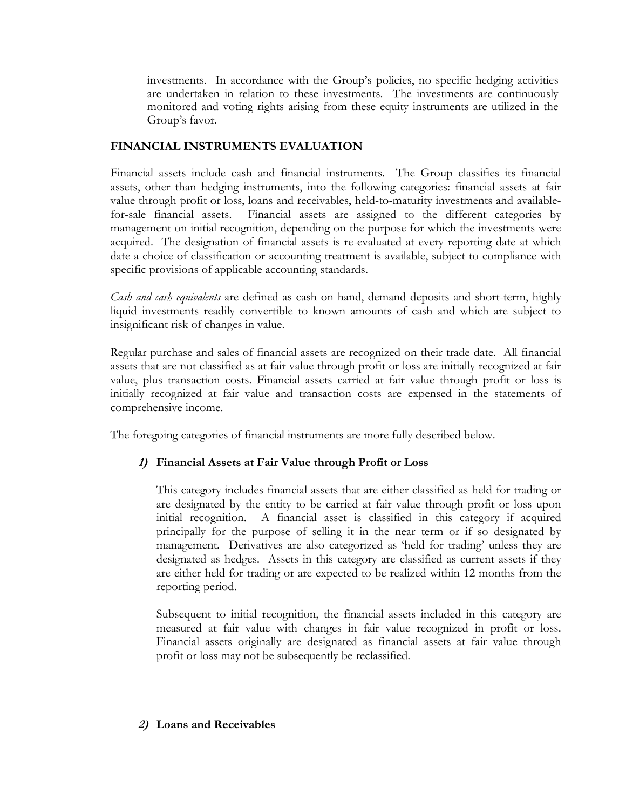investments. In accordance with the Group's policies, no specific hedging activities are undertaken in relation to these investments. The investments are continuously monitored and voting rights arising from these equity instruments are utilized in the Group's favor.

### **FINANCIAL INSTRUMENTS EVALUATION**

Financial assets include cash and financial instruments. The Group classifies its financial assets, other than hedging instruments, into the following categories: financial assets at fair value through profit or loss, loans and receivables, held-to-maturity investments and availablefor-sale financial assets. Financial assets are assigned to the different categories by management on initial recognition, depending on the purpose for which the investments were acquired. The designation of financial assets is re-evaluated at every reporting date at which date a choice of classification or accounting treatment is available, subject to compliance with specific provisions of applicable accounting standards.

*Cash and cash equivalents* are defined as cash on hand, demand deposits and short-term, highly liquid investments readily convertible to known amounts of cash and which are subject to insignificant risk of changes in value.

Regular purchase and sales of financial assets are recognized on their trade date. All financial assets that are not classified as at fair value through profit or loss are initially recognized at fair value, plus transaction costs. Financial assets carried at fair value through profit or loss is initially recognized at fair value and transaction costs are expensed in the statements of comprehensive income.

The foregoing categories of financial instruments are more fully described below.

### **1) Financial Assets at Fair Value through Profit or Loss**

 This category includes financial assets that are either classified as held for trading or are designated by the entity to be carried at fair value through profit or loss upon initial recognition. A financial asset is classified in this category if acquired principally for the purpose of selling it in the near term or if so designated by management. Derivatives are also categorized as 'held for trading' unless they are designated as hedges. Assets in this category are classified as current assets if they are either held for trading or are expected to be realized within 12 months from the reporting period.

 Subsequent to initial recognition, the financial assets included in this category are measured at fair value with changes in fair value recognized in profit or loss. Financial assets originally are designated as financial assets at fair value through profit or loss may not be subsequently be reclassified.

### **2) Loans and Receivables**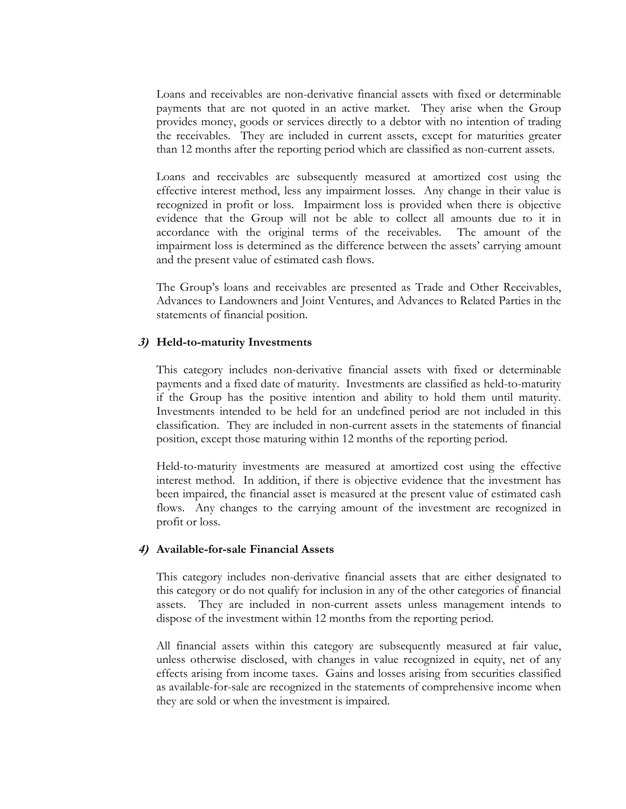Loans and receivables are non-derivative financial assets with fixed or determinable payments that are not quoted in an active market. They arise when the Group provides money, goods or services directly to a debtor with no intention of trading the receivables. They are included in current assets, except for maturities greater than 12 months after the reporting period which are classified as non-current assets.

 Loans and receivables are subsequently measured at amortized cost using the effective interest method, less any impairment losses. Any change in their value is recognized in profit or loss. Impairment loss is provided when there is objective evidence that the Group will not be able to collect all amounts due to it in accordance with the original terms of the receivables. The amount of the impairment loss is determined as the difference between the assets' carrying amount and the present value of estimated cash flows.

 The Group's loans and receivables are presented as Trade and Other Receivables, Advances to Landowners and Joint Ventures, and Advances to Related Parties in the statements of financial position.

#### **3) Held-to-maturity Investments**

This category includes non-derivative financial assets with fixed or determinable payments and a fixed date of maturity. Investments are classified as held-to-maturity if the Group has the positive intention and ability to hold them until maturity. Investments intended to be held for an undefined period are not included in this classification. They are included in non-current assets in the statements of financial position, except those maturing within 12 months of the reporting period.

 Held-to-maturity investments are measured at amortized cost using the effective interest method. In addition, if there is objective evidence that the investment has been impaired, the financial asset is measured at the present value of estimated cash flows. Any changes to the carrying amount of the investment are recognized in profit or loss.

#### **4) Available-for-sale Financial Assets**

This category includes non-derivative financial assets that are either designated to this category or do not qualify for inclusion in any of the other categories of financial assets. They are included in non-current assets unless management intends to dispose of the investment within 12 months from the reporting period.

All financial assets within this category are subsequently measured at fair value, unless otherwise disclosed, with changes in value recognized in equity, net of any effects arising from income taxes. Gains and losses arising from securities classified as available-for-sale are recognized in the statements of comprehensive income when they are sold or when the investment is impaired.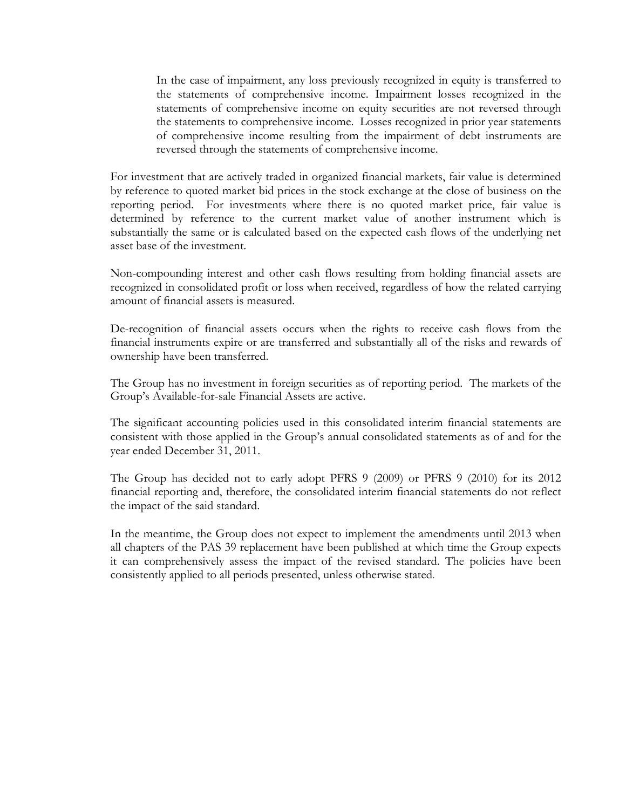In the case of impairment, any loss previously recognized in equity is transferred to the statements of comprehensive income. Impairment losses recognized in the statements of comprehensive income on equity securities are not reversed through the statements to comprehensive income. Losses recognized in prior year statements of comprehensive income resulting from the impairment of debt instruments are reversed through the statements of comprehensive income.

For investment that are actively traded in organized financial markets, fair value is determined by reference to quoted market bid prices in the stock exchange at the close of business on the reporting period. For investments where there is no quoted market price, fair value is determined by reference to the current market value of another instrument which is substantially the same or is calculated based on the expected cash flows of the underlying net asset base of the investment.

Non-compounding interest and other cash flows resulting from holding financial assets are recognized in consolidated profit or loss when received, regardless of how the related carrying amount of financial assets is measured.

De-recognition of financial assets occurs when the rights to receive cash flows from the financial instruments expire or are transferred and substantially all of the risks and rewards of ownership have been transferred.

The Group has no investment in foreign securities as of reporting period. The markets of the Group's Available-for-sale Financial Assets are active.

The significant accounting policies used in this consolidated interim financial statements are consistent with those applied in the Group's annual consolidated statements as of and for the year ended December 31, 2011.

The Group has decided not to early adopt PFRS 9 (2009) or PFRS 9 (2010) for its 2012 financial reporting and, therefore, the consolidated interim financial statements do not reflect the impact of the said standard.

In the meantime, the Group does not expect to implement the amendments until 2013 when all chapters of the PAS 39 replacement have been published at which time the Group expects it can comprehensively assess the impact of the revised standard. The policies have been consistently applied to all periods presented, unless otherwise stated.